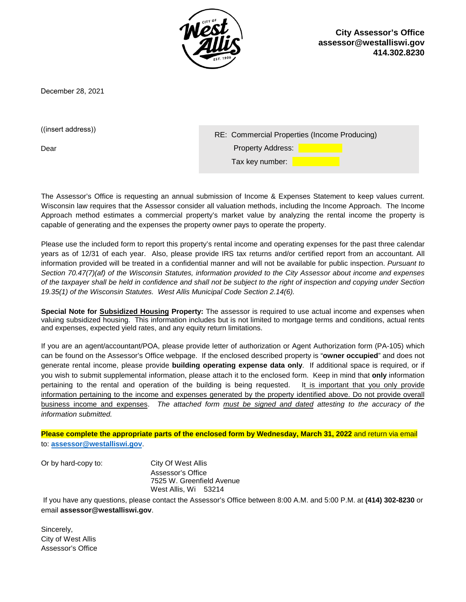

**City Assessor's Office [assessor@westalliswi.gov](mailto:assessor@westalliswi.gov) 414.302.8230**

December 28, 2021

((insert address))

Dear

| RE: Commercial Properties (Income Producing) |  |
|----------------------------------------------|--|
| <b>Property Address:</b>                     |  |
| Tax key number:                              |  |

The Assessor's Office is requesting an annual submission of Income & Expenses Statement to keep values current. Wisconsin law requires that the Assessor consider all valuation methods, including the Income Approach. The Income Approach method estimates a commercial property's market value by analyzing the rental income the property is capable of generating and the expenses the property owner pays to operate the property.

Please use the included form to report this property's rental income and operating expenses for the past three calendar years as of 12/31 of each year. Also, please provide IRS tax returns and/or certified report from an accountant. All information provided will be treated in a confidential manner and will not be available for public inspection. *Pursuant to Section 70.47(7)(af) of the Wisconsin Statutes, information provided to the City Assessor about income and expenses of the taxpayer shall be held in confidence and shall not be subject to the right of inspection and copying under Section 19.35(1) of the Wisconsin Statutes. West Allis Municipal Code Section 2.14(6).* 

**Special Note for Subsidized Housing Property:** The assessor is required to use actual income and expenses when valuing subsidized housing. This information includes but is not limited to mortgage terms and conditions, actual rents and expenses, expected yield rates, and any equity return limitations.

If you are an agent/accountant/POA, please provide letter of authorization or Agent Authorization form (PA-105) which can be found on the Assessor's Office webpage. If the enclosed described property is "**owner occupied**" and does not generate rental income, please provide **building operating expense data only**. If additional space is required, or if you wish to submit supplemental information, please attach it to the enclosed form. Keep in mind that **only** information pertaining to the rental and operation of the building is being requested. It is important that you only provide information pertaining to the income and expenses generated by the property identified above. Do not provide overall business income and expenses. *The attached form must be signed and dated attesting to the accuracy of the information submitted.* 

**Please complete the appropriate parts of the enclosed form by Wednesday, March 31, 2022** and return via email to: **[assessor@westalliswi.gov](mailto:assessor@westalliswi.gov)**.

Or by hard-copy to: City Of West Allis

Assessor's Office 7525 W. Greenfield Avenue West Allis, Wi 53214

If you have any questions, please contact the Assessor's Office between 8:00 A.M. and 5:00 P.M. at **(414) 302-8230** or email **assessor@westalliswi.gov**.

Sincerely, City of West Allis Assessor's Office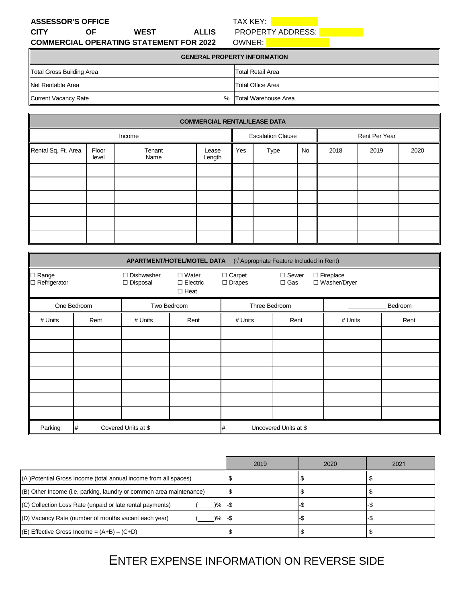| <b>ASSESSOR'S OFFICE</b> |     |                                                |              |  |  |  |
|--------------------------|-----|------------------------------------------------|--------------|--|--|--|
| <b>CITY</b>              | 0E. | <b>WEST</b>                                    | <b>ALLIS</b> |  |  |  |
|                          |     | <b>COMMERCIAL OPERATING STATEMENT FOR 2022</b> |              |  |  |  |

TAX KEY: **Notified A Service Service** 

PROPERTY ADDRESS:

OWNER: **William Street, 1989** 

| <b>GENERAL PROPERTY INFORMATION</b> |                        |  |  |
|-------------------------------------|------------------------|--|--|
| Total Gross Building Area           | Total Retail Area      |  |  |
| <b>Net Rentable Area</b>            | Total Office Area      |  |  |
| Current Vacancy Rate                | % Total Warehouse Area |  |  |

| <b>COMMERCIAL RENTAL/LEASE DATA</b> |                |                |                          |                   |               |      |      |      |  |
|-------------------------------------|----------------|----------------|--------------------------|-------------------|---------------|------|------|------|--|
| Income                              |                |                | <b>Escalation Clause</b> |                   | Rent Per Year |      |      |      |  |
| Rental Sq. Ft. Area                 | Floor<br>level | Tenant<br>Name | Lease<br>Length          | Yes<br>Type<br>No |               | 2018 | 2019 | 2020 |  |
|                                     |                |                |                          |                   |               |      |      |      |  |
|                                     |                |                |                          |                   |               |      |      |      |  |
|                                     |                |                |                          |                   |               |      |      |      |  |
|                                     |                |                |                          |                   |               |      |      |      |  |
|                                     |                |                |                          |                   |               |      |      |      |  |
|                                     |                |                |                          |                   |               |      |      |      |  |

| $(\sqrt{A}$ ppropriate Feature Included in Rent)<br>APARTMENT/HOTEL/MOTEL DATA |             |                                                   |                                                |                           |                            |                                    |         |
|--------------------------------------------------------------------------------|-------------|---------------------------------------------------|------------------------------------------------|---------------------------|----------------------------|------------------------------------|---------|
| $\Box$ Range<br>$\Box$ Refrigerator                                            |             | $\Box$ Dishwasher<br>□ Disposal                   | $\Box$ Water<br>$\Box$ Electric<br>$\Box$ Heat | □ Carpet<br>$\Box$ Drapes | $\Box$ Sewer<br>$\Box$ Gas | $\Box$ Fireplace<br>□ Washer/Dryer |         |
|                                                                                | One Bedroom |                                                   | Two Bedroom                                    | Three Bedroom             |                            |                                    | Bedroom |
| # Units                                                                        | Rent        | # Units                                           | Rent                                           | # Units                   | Rent                       | # Units                            | Rent    |
|                                                                                |             |                                                   |                                                |                           |                            |                                    |         |
|                                                                                |             |                                                   |                                                |                           |                            |                                    |         |
|                                                                                |             |                                                   |                                                |                           |                            |                                    |         |
|                                                                                |             |                                                   |                                                |                           |                            |                                    |         |
|                                                                                |             |                                                   |                                                |                           |                            |                                    |         |
|                                                                                |             |                                                   |                                                |                           |                            |                                    |         |
|                                                                                |             |                                                   |                                                |                           |                            |                                    |         |
| Parking                                                                        | #           | Covered Units at \$<br>Uncovered Units at \$<br># |                                                |                           |                            |                                    |         |

|                                                                                 | 2019  | 2020 | 2021 |
|---------------------------------------------------------------------------------|-------|------|------|
| (A) Potential Gross Income (total annual income from all spaces)                |       |      |      |
| (B) Other Income (i.e. parking, laundry or common area maintenance)             |       |      |      |
| (C) Collection Loss Rate (unpaid or late rental payments)<br>$\frac{9}{6}$ - \$ |       |      |      |
| (D) Vacancy Rate (number of months vacant each year)<br>$\frac{9}{6}$           | - 1-5 |      |      |
| $(E)$ Effective Gross Income = $(A+B) - (C+D)$                                  |       |      |      |

ENTER EXPENSE INFORMATION ON REVERSE SIDE